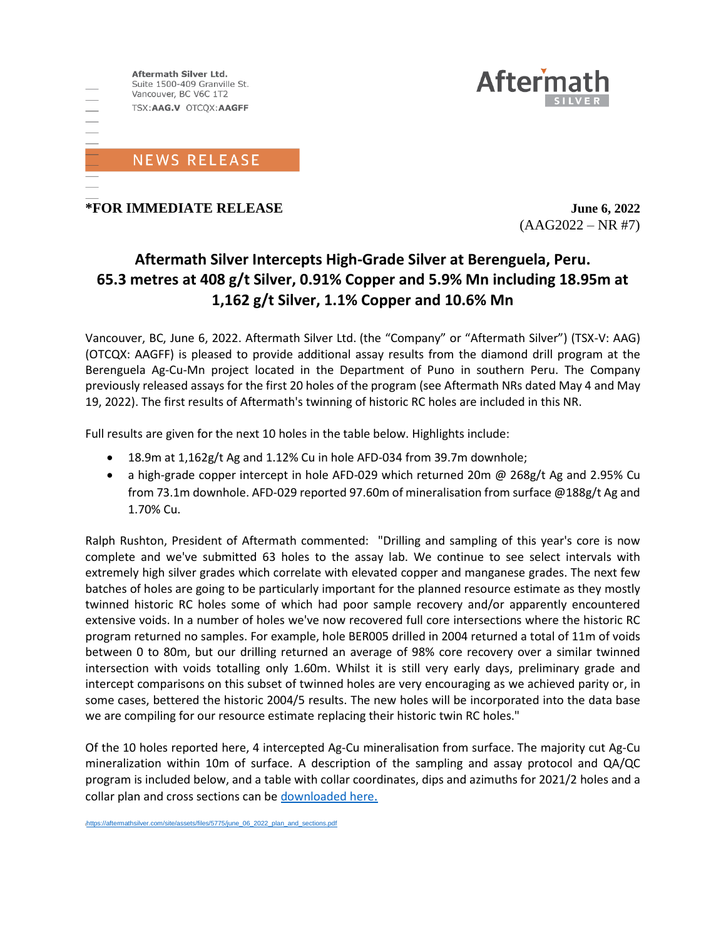



## **\*FOR IMMEDIATE RELEASE June 6, 2022**

 $(AAG2022 - NR #7)$ 

# **Aftermath Silver Intercepts High-Grade Silver at Berenguela, Peru. 65.3 metres at 408 g/t Silver, 0.91% Copper and 5.9% Mn including 18.95m at 1,162 g/t Silver, 1.1% Copper and 10.6% Mn**

Vancouver, BC, June 6, 2022. Aftermath Silver Ltd. (the "Company" or "Aftermath Silver") (TSX-V: AAG) (OTCQX: AAGFF) is pleased to provide additional assay results from the diamond drill program at the Berenguela Ag-Cu-Mn project located in the Department of Puno in southern Peru. The Company previously released assays for the first 20 holes of the program (see Aftermath NRs dated May 4 and May 19, 2022). The first results of Aftermath's twinning of historic RC holes are included in this NR.

Full results are given for the next 10 holes in the table below. Highlights include:

- 18.9m at 1,162g/t Ag and 1.12% Cu in hole AFD-034 from 39.7m downhole;
- a high-grade copper intercept in hole AFD-029 which returned 20m @ 268g/t Ag and 2.95% Cu from 73.1m downhole. AFD-029 reported 97.60m of mineralisation from surface @188g/t Ag and 1.70% Cu.

Ralph Rushton, President of Aftermath commented: "Drilling and sampling of this year's core is now complete and we've submitted 63 holes to the assay lab. We continue to see select intervals with extremely high silver grades which correlate with elevated copper and manganese grades. The next few batches of holes are going to be particularly important for the planned resource estimate as they mostly twinned historic RC holes some of which had poor sample recovery and/or apparently encountered extensive voids. In a number of holes we've now recovered full core intersections where the historic RC program returned no samples. For example, hole BER005 drilled in 2004 returned a total of 11m of voids between 0 to 80m, but our drilling returned an average of 98% core recovery over a similar twinned intersection with voids totalling only 1.60m. Whilst it is still very early days, preliminary grade and intercept comparisons on this subset of twinned holes are very encouraging as we achieved parity or, in some cases, bettered the historic 2004/5 results. The new holes will be incorporated into the data base we are compiling for our resource estimate replacing their historic twin RC holes."

Of the 10 holes reported here, 4 intercepted Ag-Cu mineralisation from surface. The majority cut Ag-Cu mineralization within 10m of surface. A description of the sampling and assay protocol and QA/QC program is included below, and a table with collar coordinates, dips and azimuths for 2021/2 holes and a collar plan and cross sections can b[e downloaded here](https://aftermathsilver.com/site/assets/files/5775/june_06_2022_plan_and_sections.pdf)[.](https://aftermathsilver.com/site/assets/files/5775/june_06_2022_plan_and_sections.pdf)

ttps://aftermathsilver.com/site/assets/files/5775/june\_06\_2022\_plan\_and\_sections.pdf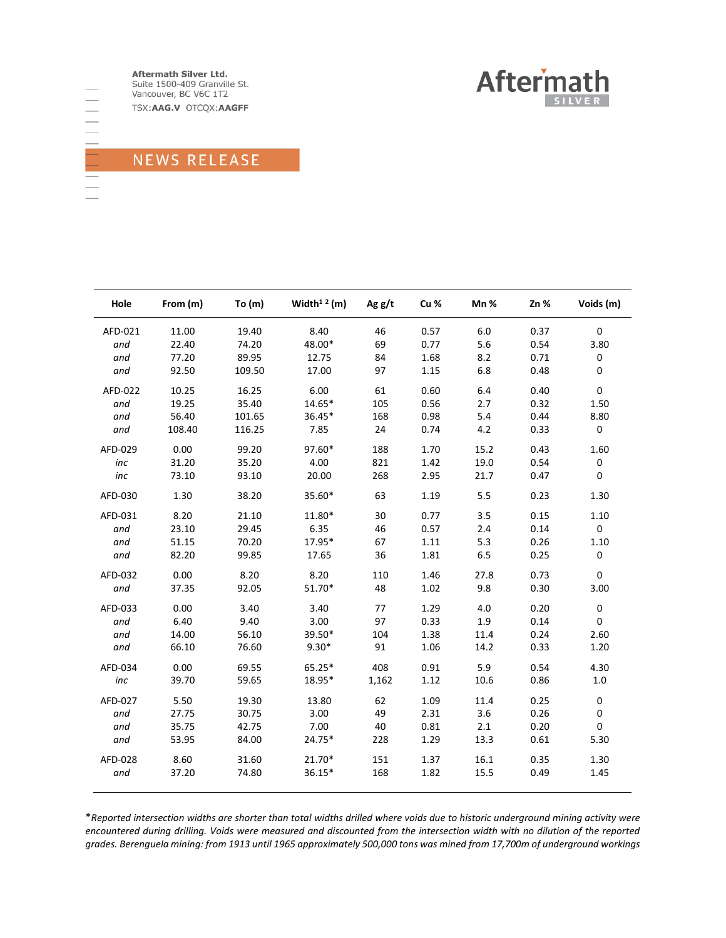Aftermath Silver Ltd. Suite 1500-409 Granville St. Vancouver, BC V6C 1T2

TSX:AAG.V OTCQX:AAGFF



# NEWS RELEASE

| Hole    | From (m) | To $(m)$ | Width <sup>12</sup> (m) | Ag g/t | Cu % | Mn%  | Zn%  | Voids (m)   |  |
|---------|----------|----------|-------------------------|--------|------|------|------|-------------|--|
| AFD-021 | 11.00    | 19.40    | 8.40                    | 46     | 0.57 | 6.0  | 0.37 | $\mathbf 0$ |  |
| and     | 22.40    | 74.20    | 48.00*                  | 69     | 0.77 | 5.6  | 0.54 | 3.80        |  |
| and     | 77.20    | 89.95    | 12.75                   | 84     | 1.68 | 8.2  | 0.71 | $\pmb{0}$   |  |
| and     | 92.50    | 109.50   | 17.00                   | 97     | 1.15 | 6.8  | 0.48 | 0           |  |
| AFD-022 | 10.25    | 16.25    | 6.00                    | 61     | 0.60 | 6.4  | 0.40 | $\mathbf 0$ |  |
| and     | 19.25    | 35.40    | 14.65*                  | 105    | 0.56 | 2.7  | 0.32 | 1.50        |  |
| and     | 56.40    | 101.65   | 36.45*                  | 168    | 0.98 | 5.4  | 0.44 | 8.80        |  |
| and     | 108.40   | 116.25   | 7.85                    | 24     | 0.74 | 4.2  | 0.33 | $\pmb{0}$   |  |
| AFD-029 | 0.00     | 99.20    | 97.60*                  | 188    | 1.70 | 15.2 | 0.43 | 1.60        |  |
| inc     | 31.20    | 35.20    | 4.00                    | 821    | 1.42 | 19.0 | 0.54 | $\pmb{0}$   |  |
| inc     | 73.10    | 93.10    | 20.00                   | 268    | 2.95 | 21.7 | 0.47 | 0           |  |
| AFD-030 | 1.30     | 38.20    | 35.60*                  | 63     | 1.19 | 5.5  | 0.23 | 1.30        |  |
| AFD-031 | 8.20     | 21.10    | 11.80*                  | 30     | 0.77 | 3.5  | 0.15 | 1.10        |  |
| and     | 23.10    | 29.45    | 6.35                    | 46     | 0.57 | 2.4  | 0.14 | $\mathbf 0$ |  |
| and     | 51.15    | 70.20    | 17.95*                  | 67     | 1.11 | 5.3  | 0.26 | 1.10        |  |
| and     | 82.20    | 99.85    | 17.65                   | 36     | 1.81 | 6.5  | 0.25 | $\pmb{0}$   |  |
| AFD-032 | 0.00     | 8.20     | 8.20                    | 110    | 1.46 | 27.8 | 0.73 | 0           |  |
| and     | 37.35    | 92.05    | 51.70*                  | 48     | 1.02 | 9.8  | 0.30 | 3.00        |  |
| AFD-033 | 0.00     | 3.40     | 3.40                    | 77     | 1.29 | 4.0  | 0.20 | $\pmb{0}$   |  |
| and     | 6.40     | 9.40     | 3.00                    | 97     | 0.33 | 1.9  | 0.14 | 0           |  |
| and     | 14.00    | 56.10    | 39.50*                  | 104    | 1.38 | 11.4 | 0.24 | 2.60        |  |
| and     | 66.10    | 76.60    | $9.30*$                 | 91     | 1.06 | 14.2 | 0.33 | 1.20        |  |
| AFD-034 | 0.00     | 69.55    | $65.25*$                | 408    | 0.91 | 5.9  | 0.54 | 4.30        |  |
| inc     | 39.70    | 59.65    | 18.95*                  | 1,162  | 1.12 | 10.6 | 0.86 | $1.0\,$     |  |
| AFD-027 | 5.50     | 19.30    | 13.80                   | 62     | 1.09 | 11.4 | 0.25 | $\pmb{0}$   |  |
| and     | 27.75    | 30.75    | 3.00                    | 49     | 2.31 | 3.6  | 0.26 | 0           |  |
| and     | 35.75    | 42.75    | 7.00                    | 40     | 0.81 | 2.1  | 0.20 | 0           |  |
| and     | 53.95    | 84.00    | 24.75*                  | 228    | 1.29 | 13.3 | 0.61 | 5.30        |  |
| AFD-028 | 8.60     | 31.60    | 21.70*                  | 151    | 1.37 | 16.1 | 0.35 | 1.30        |  |
| and     | 37.20    | 74.80    | 36.15*                  | 168    | 1.82 | 15.5 | 0.49 | 1.45        |  |

\**Reported intersection widths are shorter than total widths drilled where voids due to historic underground mining activity were encountered during drilling. Voids were measured and discounted from the intersection width with no dilution of the reported grades. Berenguela mining: from 1913 until 1965 approximately 500,000 tons was mined from 17,700m of underground workings*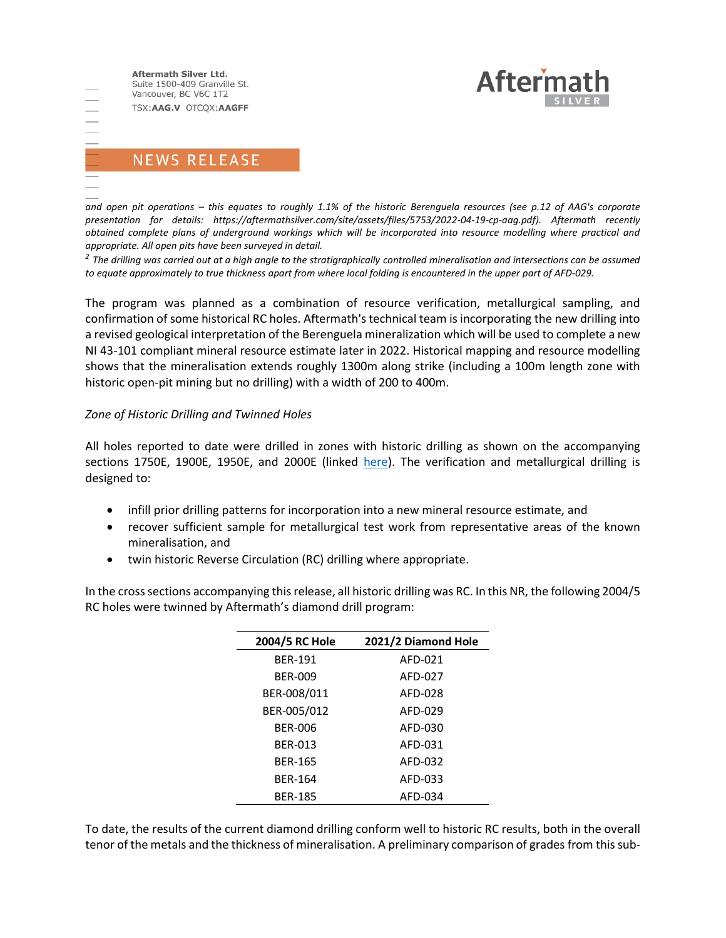Aftermath Silver Ltd. Suite 1500-409 Granville St. Vancouver, BC V6C 1T2 TSX:AAG.V OTCQX:AAGFF



# **NEWS RELEASE**

*and open pit operations – this equates to roughly 1.1% of the historic Berenguela resources (see p.12 of AAG's corporate presentation for details: https://aftermathsilver.com/site/assets/files/5753/2022-04-19-cp-aag.pdf). Aftermath recently obtained complete plans of underground workings which will be incorporated into resource modelling where practical and appropriate. All open pits have been surveyed in detail.* 

*2 The drilling was carried out at a high angle to the stratigraphically controlled mineralisation and intersections can be assumed to equate approximately to true thickness apart from where local folding is encountered in the upper part of AFD-029.*

The program was planned as a combination of resource verification, metallurgical sampling, and confirmation of some historical RC holes. Aftermath's technical team is incorporating the new drilling into a revised geological interpretation of the Berenguela mineralization which will be used to complete a new NI 43-101 compliant mineral resource estimate later in 2022. Historical mapping and resource modelling shows that the mineralisation extends roughly 1300m along strike (including a 100m length zone with historic open-pit mining but no drilling) with a width of 200 to 400m.

#### *Zone of Historic Drilling and Twinned Holes*

All holes reported to date were drilled in zones with historic drilling as shown on the accompanying sections 1750E, 1900E, 1950E, and 2000E (linked [here\)](https://aftermathsilver.com/site/assets/files/5775/june_06_2022_plan_and_sections.pdf). The verification and metallurgical drilling is designed to:

- infill prior drilling patterns for incorporation into a new mineral resource estimate, and
- recover sufficient sample for metallurgical test work from representative areas of the known mineralisation, and
- twin historic Reverse Circulation (RC) drilling where appropriate.

In the cross sections accompanying this release, all historic drilling was RC. In this NR, the following 2004/5 RC holes were twinned by Aftermath's diamond drill program:

| 2004/5 RC Hole | 2021/2 Diamond Hole |
|----------------|---------------------|
| <b>BER-191</b> | AFD-021             |
| BFR-009        | AFD-027             |
| BER-008/011    | AFD-028             |
| BER-005/012    | AFD-029             |
| BFR-006        | AFD-030             |
| BER-013        | AFD-031             |
| <b>BER-165</b> | AFD-032             |
| <b>BFR-164</b> | AFD-033             |
| <b>BER-185</b> | AFD-034             |

To date, the results of the current diamond drilling conform well to historic RC results, both in the overall tenor of the metals and the thickness of mineralisation. A preliminary comparison of grades from this sub-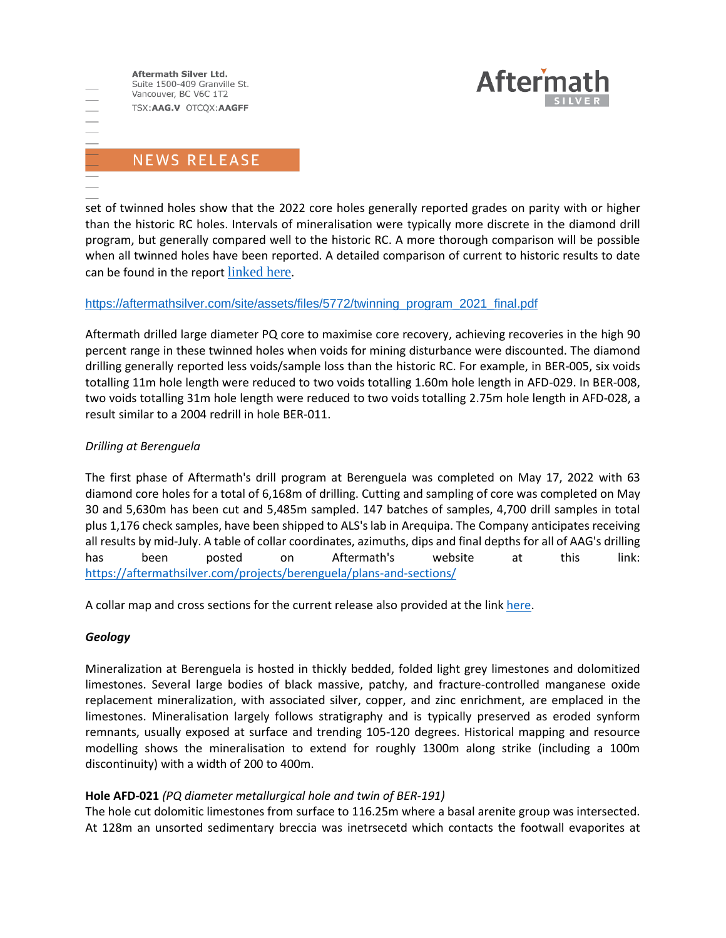Aftermath Silver Ltd. Suite 1500-409 Granville St. Vancouver, BC V6C 1T2 TSX:AAG.V OTCQX:AAGFF

 $\frac{1}{1}$ 



## **NEWS RELEASE**

set of twinned holes show that the 2022 core holes generally reported grades on parity with or higher than the historic RC holes. Intervals of mineralisation were typically more discrete in the diamond drill program, but generally compared well to the historic RC. A more thorough comparison will be possible when all twinned holes have been reported. A detailed comparison of current to historic results to date can be found in the report [linked here](https://aftermathsilver.com/site/assets/files/5772/twinning_program_2021_final.pdf).

#### [https://aftermathsilver.com/site/assets/files/5772/twinning\\_program\\_2021\\_final.pdf](https://aftermathsilver.com/site/assets/files/5772/twinning_program_2021_final.pdf)

Aftermath drilled large diameter PQ core to maximise core recovery, achieving recoveries in the high 90 percent range in these twinned holes when voids for mining disturbance were discounted. The diamond drilling generally reported less voids/sample loss than the historic RC. For example, in BER-005, six voids totalling 11m hole length were reduced to two voids totalling 1.60m hole length in AFD-029. In BER-008, two voids totalling 31m hole length were reduced to two voids totalling 2.75m hole length in AFD-028, a result similar to a 2004 redrill in hole BER-011.

#### *Drilling at Berenguela*

The first phase of Aftermath's drill program at Berenguela was completed on May 17, 2022 with 63 diamond core holes for a total of 6,168m of drilling. Cutting and sampling of core was completed on May 30 and 5,630m has been cut and 5,485m sampled. 147 batches of samples, 4,700 drill samples in total plus 1,176 check samples, have been shipped to ALS's lab in Arequipa. The Company anticipates receiving all results by mid-July. A table of collar coordinates, azimuths, dips and final depths for all of AAG's drilling has been posted on Aftermath's website at this link: <https://aftermathsilver.com/projects/berenguela/plans-and-sections/>

A collar map and cross sections for the current release also provided at the link [here.](https://aftermathsilver.com/site/assets/files/5775/june_06_2022_plan_and_sections.pdf)

#### *Geology*

Mineralization at Berenguela is hosted in thickly bedded, folded light grey limestones and dolomitized limestones. Several large bodies of black massive, patchy, and fracture-controlled manganese oxide replacement mineralization, with associated silver, copper, and zinc enrichment, are emplaced in the limestones. Mineralisation largely follows stratigraphy and is typically preserved as eroded synform remnants, usually exposed at surface and trending 105-120 degrees. Historical mapping and resource modelling shows the mineralisation to extend for roughly 1300m along strike (including a 100m discontinuity) with a width of 200 to 400m.

#### **Hole AFD-021** *(PQ diameter metallurgical hole and twin of BER-191)*

The hole cut dolomitic limestones from surface to 116.25m where a basal arenite group was intersected. At 128m an unsorted sedimentary breccia was inetrsecetd which contacts the footwall evaporites at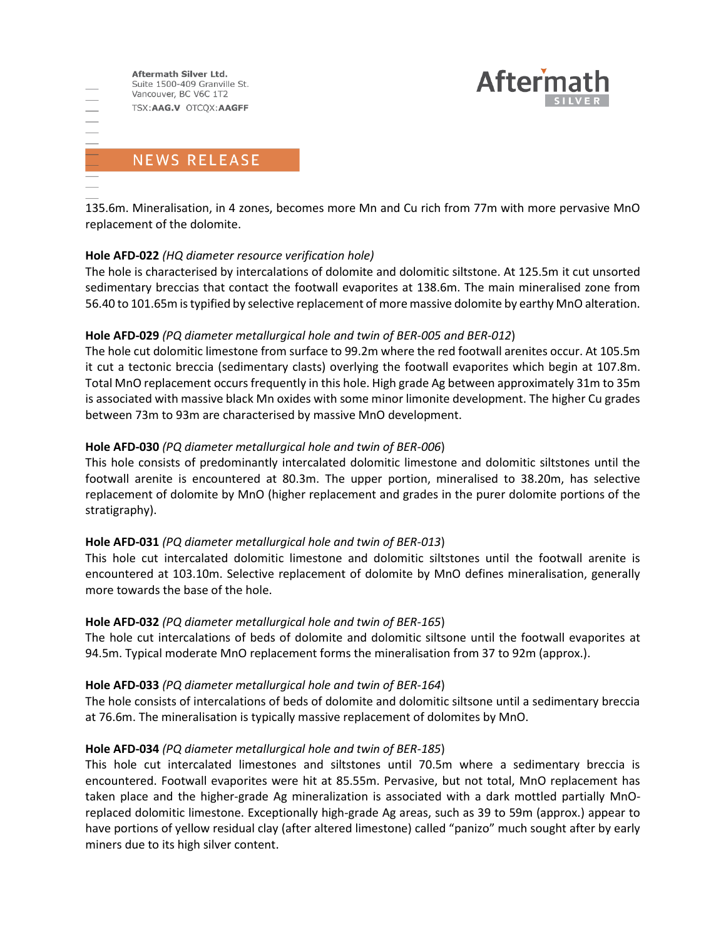



# **NEWS RELEASE**

 $\frac{1}{1}$ 

135.6m. Mineralisation, in 4 zones, becomes more Mn and Cu rich from 77m with more pervasive MnO replacement of the dolomite.

### **Hole AFD-022** *(HQ diameter resource verification hole)*

The hole is characterised by intercalations of dolomite and dolomitic siltstone. At 125.5m it cut unsorted sedimentary breccias that contact the footwall evaporites at 138.6m. The main mineralised zone from 56.40 to 101.65m is typified by selective replacement of more massive dolomite by earthy MnO alteration.

### **Hole AFD-029** *(PQ diameter metallurgical hole and twin of BER-005 and BER-012*)

The hole cut dolomitic limestone from surface to 99.2m where the red footwall arenites occur. At 105.5m it cut a tectonic breccia (sedimentary clasts) overlying the footwall evaporites which begin at 107.8m. Total MnO replacement occurs frequently in this hole. High grade Ag between approximately 31m to 35m is associated with massive black Mn oxides with some minor limonite development. The higher Cu grades between 73m to 93m are characterised by massive MnO development.

### **Hole AFD-030** *(PQ diameter metallurgical hole and twin of BER-006*)

This hole consists of predominantly intercalated dolomitic limestone and dolomitic siltstones until the footwall arenite is encountered at 80.3m. The upper portion, mineralised to 38.20m, has selective replacement of dolomite by MnO (higher replacement and grades in the purer dolomite portions of the stratigraphy).

#### **Hole AFD-031** *(PQ diameter metallurgical hole and twin of BER-013*)

This hole cut intercalated dolomitic limestone and dolomitic siltstones until the footwall arenite is encountered at 103.10m. Selective replacement of dolomite by MnO defines mineralisation, generally more towards the base of the hole.

#### **Hole AFD-032** *(PQ diameter metallurgical hole and twin of BER-165*)

The hole cut intercalations of beds of dolomite and dolomitic siltsone until the footwall evaporites at 94.5m. Typical moderate MnO replacement forms the mineralisation from 37 to 92m (approx.).

#### **Hole AFD-033** *(PQ diameter metallurgical hole and twin of BER-164*)

The hole consists of intercalations of beds of dolomite and dolomitic siltsone until a sedimentary breccia at 76.6m. The mineralisation is typically massive replacement of dolomites by MnO.

### **Hole AFD-034** *(PQ diameter metallurgical hole and twin of BER-185*)

This hole cut intercalated limestones and siltstones until 70.5m where a sedimentary breccia is encountered. Footwall evaporites were hit at 85.55m. Pervasive, but not total, MnO replacement has taken place and the higher-grade Ag mineralization is associated with a dark mottled partially MnOreplaced dolomitic limestone. Exceptionally high-grade Ag areas, such as 39 to 59m (approx.) appear to have portions of yellow residual clay (after altered limestone) called "panizo" much sought after by early miners due to its high silver content.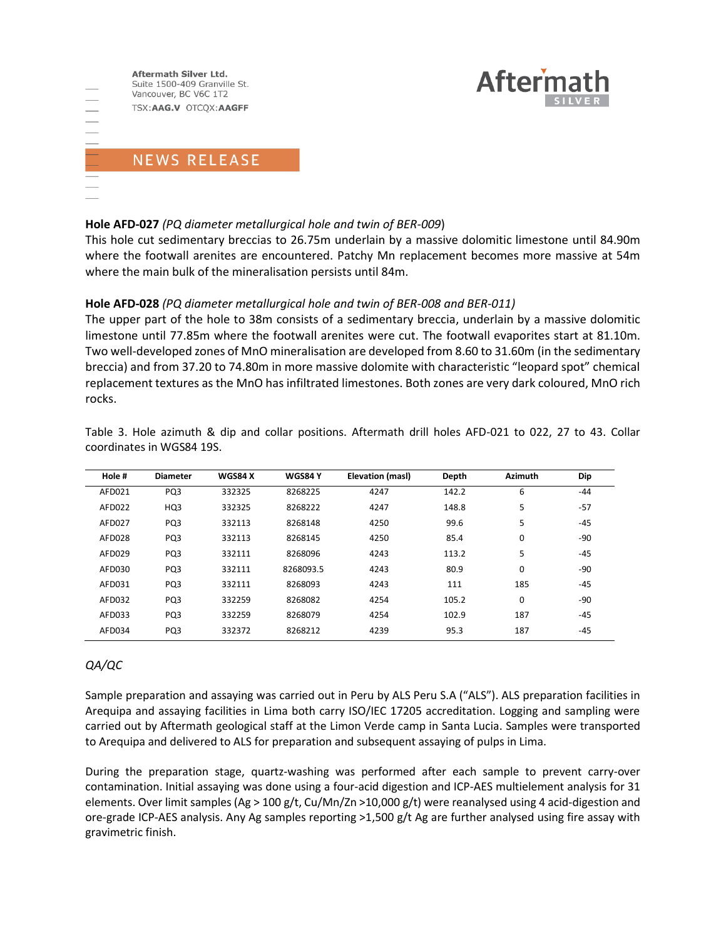



#### **Hole AFD-027** *(PQ diameter metallurgical hole and twin of BER-009*)

This hole cut sedimentary breccias to 26.75m underlain by a massive dolomitic limestone until 84.90m where the footwall arenites are encountered. Patchy Mn replacement becomes more massive at 54m where the main bulk of the mineralisation persists until 84m.

#### **Hole AFD-028** *(PQ diameter metallurgical hole and twin of BER-008 and BER-011)*

The upper part of the hole to 38m consists of a sedimentary breccia, underlain by a massive dolomitic limestone until 77.85m where the footwall arenites were cut. The footwall evaporites start at 81.10m. Two well-developed zones of MnO mineralisation are developed from 8.60 to 31.60m (in the sedimentary breccia) and from 37.20 to 74.80m in more massive dolomite with characteristic "leopard spot" chemical replacement textures as the MnO has infiltrated limestones. Both zones are very dark coloured, MnO rich rocks.

| Hole # | <b>Diameter</b> | <b>WGS84 X</b> | <b>WGS84 Y</b> | Elevation (masl) | Depth | <b>Azimuth</b> | Dip   |  |
|--------|-----------------|----------------|----------------|------------------|-------|----------------|-------|--|
| AFD021 | PQ3             | 332325         | 8268225        | 4247             | 142.2 | 6              | $-44$ |  |
| AFD022 | HQ3             | 332325         | 8268222        | 4247             | 148.8 | 5              | $-57$ |  |
| AFD027 | PQ3             | 332113         | 8268148        | 4250             | 99.6  | 5              | $-45$ |  |
| AFD028 | PQ3             | 332113         | 8268145        | 4250             | 85.4  | 0              | $-90$ |  |
| AFD029 | PQ3             | 332111         | 8268096        | 4243             | 113.2 | 5              | $-45$ |  |
| AFD030 | PQ3             | 332111         | 8268093.5      | 4243             | 80.9  | 0              | $-90$ |  |
| AFD031 | PQ3             | 332111         | 8268093        | 4243             | 111   | 185            | $-45$ |  |
| AFD032 | PQ3             | 332259         | 8268082        | 4254             | 105.2 | $\Omega$       | $-90$ |  |
| AFD033 | PQ3             | 332259         | 8268079        | 4254             | 102.9 | 187            | $-45$ |  |
| AFD034 | PQ3             | 332372         | 8268212        | 4239             | 95.3  | 187            | $-45$ |  |

Table 3. Hole azimuth & dip and collar positions. Aftermath drill holes AFD-021 to 022, 27 to 43. Collar coordinates in WGS84 19S.

#### *QA/QC*

Sample preparation and assaying was carried out in Peru by ALS Peru S.A ("ALS"). ALS preparation facilities in Arequipa and assaying facilities in Lima both carry ISO/IEC 17205 accreditation. Logging and sampling were carried out by Aftermath geological staff at the Limon Verde camp in Santa Lucia. Samples were transported to Arequipa and delivered to ALS for preparation and subsequent assaying of pulps in Lima.

During the preparation stage, quartz-washing was performed after each sample to prevent carry-over contamination. Initial assaying was done using a four-acid digestion and ICP-AES multielement analysis for 31 elements. Over limit samples (Ag > 100 g/t, Cu/Mn/Zn >10,000 g/t) were reanalysed using 4 acid-digestion and ore-grade ICP-AES analysis. Any Ag samples reporting >1,500 g/t Ag are further analysed using fire assay with gravimetric finish.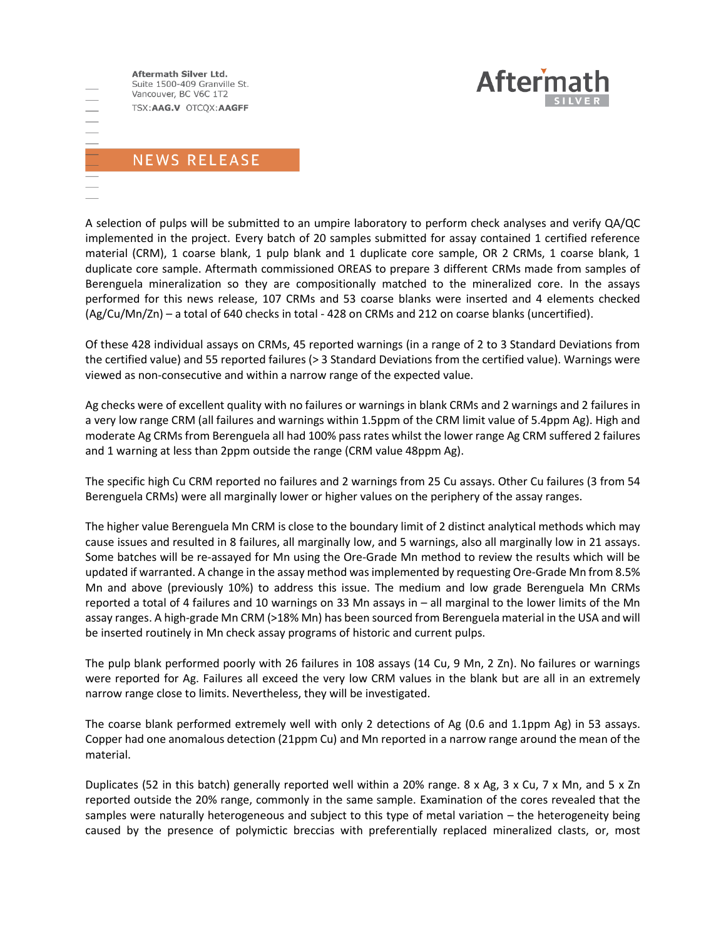Aftermath Silver Ltd. Suite 1500-409 Granville St. Vancouver, BC V6C 1T2 TSX:AAG.V OTCQX:AAGFF



# NEWS RELEASE

A selection of pulps will be submitted to an umpire laboratory to perform check analyses and verify QA/QC implemented in the project. Every batch of 20 samples submitted for assay contained 1 certified reference material (CRM), 1 coarse blank, 1 pulp blank and 1 duplicate core sample, OR 2 CRMs, 1 coarse blank, 1 duplicate core sample. Aftermath commissioned OREAS to prepare 3 different CRMs made from samples of Berenguela mineralization so they are compositionally matched to the mineralized core. In the assays performed for this news release, 107 CRMs and 53 coarse blanks were inserted and 4 elements checked (Ag/Cu/Mn/Zn) – a total of 640 checks in total - 428 on CRMs and 212 on coarse blanks (uncertified).

Of these 428 individual assays on CRMs, 45 reported warnings (in a range of 2 to 3 Standard Deviations from the certified value) and 55 reported failures (> 3 Standard Deviations from the certified value). Warnings were viewed as non-consecutive and within a narrow range of the expected value.

Ag checks were of excellent quality with no failures or warnings in blank CRMs and 2 warnings and 2 failures in a very low range CRM (all failures and warnings within 1.5ppm of the CRM limit value of 5.4ppm Ag). High and moderate Ag CRMs from Berenguela all had 100% pass rates whilst the lower range Ag CRM suffered 2 failures and 1 warning at less than 2ppm outside the range (CRM value 48ppm Ag).

The specific high Cu CRM reported no failures and 2 warnings from 25 Cu assays. Other Cu failures (3 from 54 Berenguela CRMs) were all marginally lower or higher values on the periphery of the assay ranges.

The higher value Berenguela Mn CRM is close to the boundary limit of 2 distinct analytical methods which may cause issues and resulted in 8 failures, all marginally low, and 5 warnings, also all marginally low in 21 assays. Some batches will be re-assayed for Mn using the Ore-Grade Mn method to review the results which will be updated if warranted. A change in the assay method was implemented by requesting Ore-Grade Mn from 8.5% Mn and above (previously 10%) to address this issue. The medium and low grade Berenguela Mn CRMs reported a total of 4 failures and 10 warnings on 33 Mn assays in – all marginal to the lower limits of the Mn assay ranges. A high-grade Mn CRM (>18% Mn) has been sourced from Berenguela material in the USA and will be inserted routinely in Mn check assay programs of historic and current pulps.

The pulp blank performed poorly with 26 failures in 108 assays (14 Cu, 9 Mn, 2 Zn). No failures or warnings were reported for Ag. Failures all exceed the very low CRM values in the blank but are all in an extremely narrow range close to limits. Nevertheless, they will be investigated.

The coarse blank performed extremely well with only 2 detections of Ag (0.6 and 1.1ppm Ag) in 53 assays. Copper had one anomalous detection (21ppm Cu) and Mn reported in a narrow range around the mean of the material.

Duplicates (52 in this batch) generally reported well within a 20% range. 8 x Ag, 3 x Cu, 7 x Mn, and 5 x Zn reported outside the 20% range, commonly in the same sample. Examination of the cores revealed that the samples were naturally heterogeneous and subject to this type of metal variation – the heterogeneity being caused by the presence of polymictic breccias with preferentially replaced mineralized clasts, or, most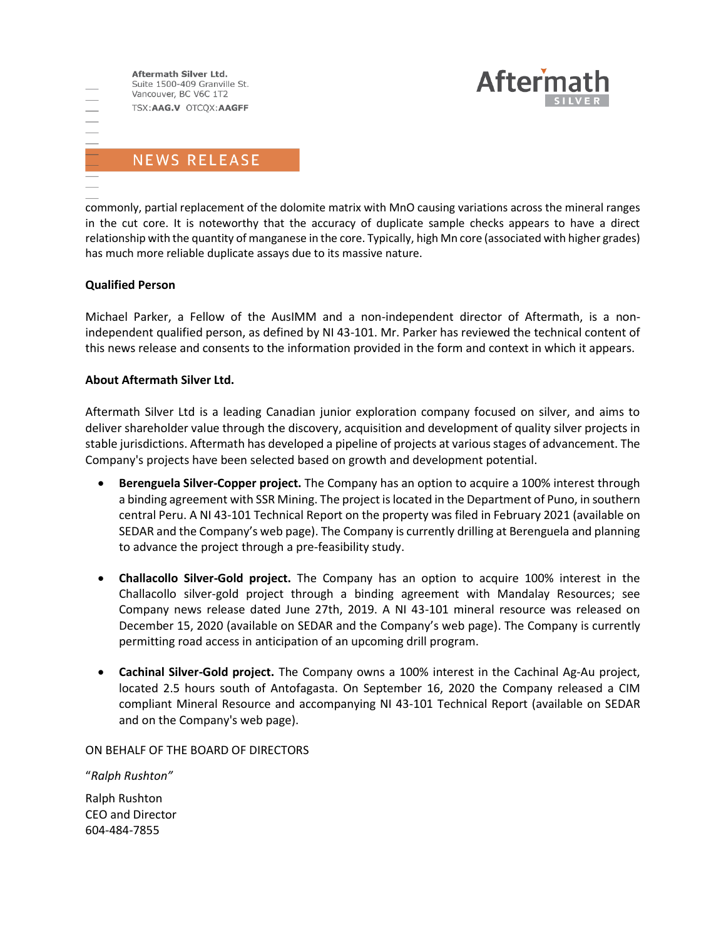



commonly, partial replacement of the dolomite matrix with MnO causing variations across the mineral ranges in the cut core. It is noteworthy that the accuracy of duplicate sample checks appears to have a direct relationship with the quantity of manganese in the core. Typically, high Mn core (associated with higher grades) has much more reliable duplicate assays due to its massive nature.

#### **Qualified Person**

Michael Parker, a Fellow of the AusIMM and a non-independent director of Aftermath, is a nonindependent qualified person, as defined by NI 43-101. Mr. Parker has reviewed the technical content of this news release and consents to the information provided in the form and context in which it appears.

#### **About Aftermath Silver Ltd.**

Aftermath Silver Ltd is a leading Canadian junior exploration company focused on silver, and aims to deliver shareholder value through the discovery, acquisition and development of quality silver projects in stable jurisdictions. Aftermath has developed a pipeline of projects at various stages of advancement. The Company's projects have been selected based on growth and development potential.

- **Berenguela Silver-Copper project.** The Company has an option to acquire a 100% interest through a binding agreement with SSR Mining. The project is located in the Department of Puno, in southern central Peru. A NI 43-101 Technical Report on the property was filed in February 2021 (available on SEDAR and the Company's web page). The Company is currently drilling at Berenguela and planning to advance the project through a pre-feasibility study.
- **Challacollo Silver-Gold project.** The Company has an option to acquire 100% interest in the Challacollo silver-gold project through a binding agreement with Mandalay Resources; see Company news release dated June 27th, 2019. A NI 43-101 mineral resource was released on December 15, 2020 (available on SEDAR and the Company's web page). The Company is currently permitting road access in anticipation of an upcoming drill program.
- **Cachinal Silver-Gold project.** The Company owns a 100% interest in the Cachinal Ag-Au project, located 2.5 hours south of Antofagasta. On September 16, 2020 the Company released a CIM compliant Mineral Resource and accompanying NI 43-101 Technical Report (available on SEDAR and on the Company's web page).

ON BEHALF OF THE BOARD OF DIRECTORS

"*Ralph Rushton"*

Ralph Rushton CEO and Director 604-484-7855